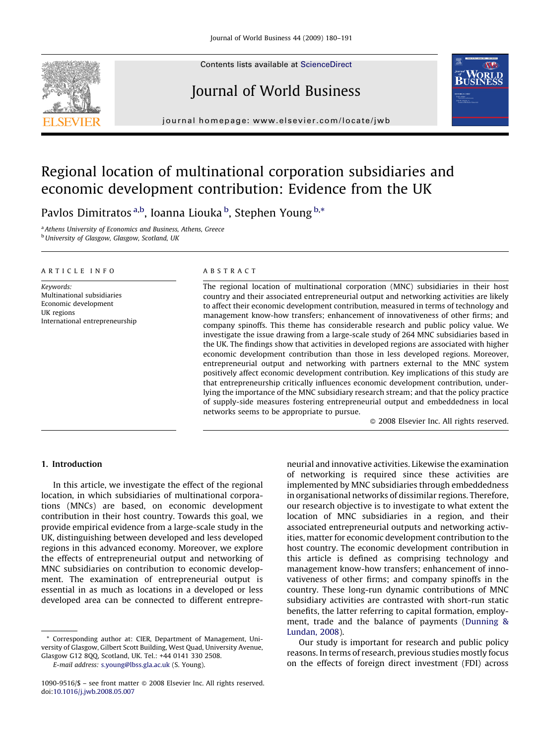Contents lists available at [ScienceDirect](http://www.sciencedirect.com/science/journal/10909516)

# Journal of World Business



journal homepage: www.elsevier.com/locate/jwb

# Regional location of multinational corporation subsidiaries and economic development contribution: Evidence from the UK

Pavlos Dimitratos <sup>a,b</sup>, Ioanna Liouka <sup>b</sup>, Stephen Young <sup>b,\*</sup>

<sup>a</sup> Athens University of Economics and Business, Athens, Greece **b** University of Glasgow, Glasgow, Scotland, UK

#### ARTICLE INFO

Keywords: Multinational subsidiaries Economic development UK regions International entrepreneurship

### ABSTRACT

The regional location of multinational corporation (MNC) subsidiaries in their host country and their associated entrepreneurial output and networking activities are likely to affect their economic development contribution, measured in terms of technology and management know-how transfers; enhancement of innovativeness of other firms; and company spinoffs. This theme has considerable research and public policy value. We investigate the issue drawing from a large-scale study of 264 MNC subsidiaries based in the UK. The findings show that activities in developed regions are associated with higher economic development contribution than those in less developed regions. Moreover, entrepreneurial output and networking with partners external to the MNC system positively affect economic development contribution. Key implications of this study are that entrepreneurship critically influences economic development contribution, underlying the importance of the MNC subsidiary research stream; and that the policy practice of supply-side measures fostering entrepreneurial output and embeddedness in local networks seems to be appropriate to pursue.

 $\odot$  2008 Elsevier Inc. All rights reserved.

## 1. Introduction

In this article, we investigate the effect of the regional location, in which subsidiaries of multinational corporations (MNCs) are based, on economic development contribution in their host country. Towards this goal, we provide empirical evidence from a large-scale study in the UK, distinguishing between developed and less developed regions in this advanced economy. Moreover, we explore the effects of entrepreneurial output and networking of MNC subsidiaries on contribution to economic development. The examination of entrepreneurial output is essential in as much as locations in a developed or less developed area can be connected to different entrepre-

\* Corresponding author at: CIER, Department of Management, University of Glasgow, Gilbert Scott Building, West Quad, University Avenue, Glasgow G12 8QQ, Scotland, UK. Tel.: +44 0141 330 2508.

E-mail address: [s.young@lbss.gla.ac.uk](mailto:s.young@lbss.gla.ac.uk) (S. Young).

neurial and innovative activities. Likewise the examination of networking is required since these activities are implemented by MNC subsidiaries through embeddedness in organisational networks of dissimilar regions. Therefore, our research objective is to investigate to what extent the location of MNC subsidiaries in a region, and their associated entrepreneurial outputs and networking activities, matter for economic development contribution to the host country. The economic development contribution in this article is defined as comprising technology and management know-how transfers; enhancement of innovativeness of other firms; and company spinoffs in the country. These long-run dynamic contributions of MNC subsidiary activities are contrasted with short-run static benefits, the latter referring to capital formation, employment, trade and the balance of payments [\(Dunning &](#page--1-0) [Lundan, 2008](#page--1-0)).

Our study is important for research and public policy reasons. In terms of research, previous studies mostly focus on the effects of foreign direct investment (FDI) across

<sup>1090-9516/\$ –</sup> see front matter  $\odot$  2008 Elsevier Inc. All rights reserved. doi[:10.1016/j.jwb.2008.05.007](http://dx.doi.org/10.1016/j.jwb.2008.05.007)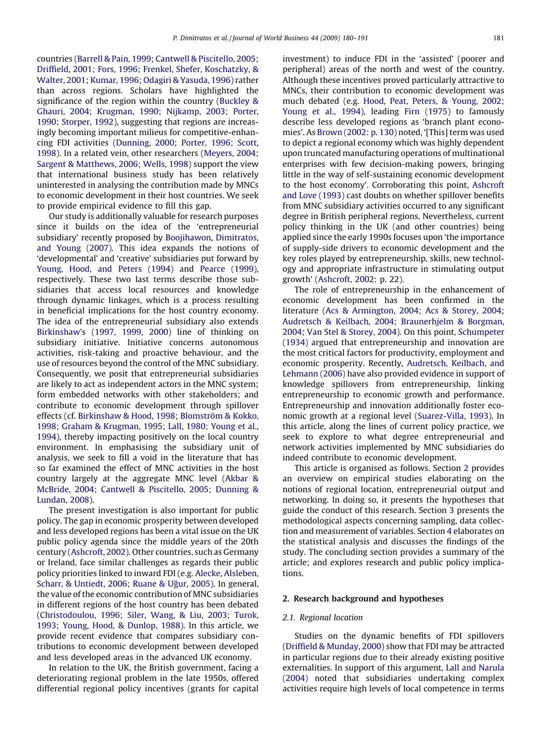countries [\(Barrell & Pain, 1999;](#page--1-0) [Cantwell & Piscitello, 2005](#page--1-0); [Driffield, 2001; Fors, 1996](#page--1-0); [Frenkel, Shefer, Koschatzky, &](#page--1-0) [Walter, 2001;](#page--1-0) [Kumar, 1996;](#page--1-0) [Odagiri & Yasuda, 1996](#page--1-0)) rather than across regions. Scholars have highlighted the significance of the region within the country [\(Buckley &](#page--1-0) [Ghauri, 2004;](#page--1-0) [Krugman, 1990; Nijkamp, 2003; Porter,](#page--1-0) [1990; Storper, 1992](#page--1-0)), suggesting that regions are increasingly becoming important milieus for competitive-enhancing FDI activities ([Dunning, 2000; Porter, 1996; Scott,](#page--1-0) [1998](#page--1-0)). In a related vein, other researchers [\(Meyers, 2004](#page--1-0); [Sargent & Matthews, 2006;](#page--1-0) [Wells, 1998\)](#page--1-0) support the view that international business study has been relatively uninterested in analysing the contribution made by MNCs to economic development in their host countries. We seek to provide empirical evidence to fill this gap.

Our study is additionally valuable for research purposes since it builds on the idea of the 'entrepreneurial subsidiary' recently proposed by [Boojihawon, Dimitratos,](#page--1-0) [and Young \(2007\)](#page--1-0). This idea expands the notions of 'developmental' and 'creative' subsidiaries put forward by [Young, Hood, and Peters \(1994\)](#page--1-0) and [Pearce \(1999\)](#page--1-0), respectively. These two last terms describe those subsidiaries that access local resources and knowledge through dynamic linkages, which is a process resulting in beneficial implications for the host country economy. The idea of the entrepreneurial subsidiary also extends [Birkinshaw's \(1997, 1999, 2000\)](#page--1-0) line of thinking on subsidiary initiative. Initiative concerns autonomous activities, risk-taking and proactive behaviour, and the use of resources beyond the control of the MNC subsidiary. Consequently, we posit that entrepreneurial subsidiaries are likely to act as independent actors in the MNC system; form embedded networks with other stakeholders; and contribute to economic development through spillover effects (cf. [Birkinshaw & Hood, 1998;](#page--1-0) Blomström & Kokko, [1998](#page--1-0); [Graham & Krugman, 1995](#page--1-0); [Lall, 1980; Young et al.,](#page--1-0) [1994](#page--1-0)), thereby impacting positively on the local country environment. In emphasising the subsidiary unit of analysis, we seek to fill a void in the literature that has so far examined the effect of MNC activities in the host country largely at the aggregate MNC level ([Akbar &](#page--1-0) [McBride, 2004;](#page--1-0) [Cantwell & Piscitello, 2005](#page--1-0); [Dunning &](#page--1-0) [Lundan, 2008](#page--1-0)).

The present investigation is also important for public policy. The gap in economic prosperity between developed and less developed regions has been a vital issue on the UK public policy agenda since the middle years of the 20th century ([Ashcroft, 2002](#page--1-0)). Other countries, such as Germany or Ireland, face similar challenges as regards their public policy priorities linked to inward FDI (e.g. [Alecke, Alsleben,](#page--1-0) [Scharr, & Untiedt, 2006;](#page--1-0) Ruane & Uğur, 2005). In general, the value of the economic contribution of MNC subsidiaries in different regions of the host country has been debated ([Christodoulou, 1996;](#page--1-0) [Siler, Wang, & Liu, 2003](#page--1-0); [Turok,](#page--1-0) [1993](#page--1-0); [Young, Hood, & Dunlop, 1988\)](#page--1-0). In this article, we provide recent evidence that compares subsidiary contributions to economic development between developed and less developed areas in the advanced UK economy.

In relation to the UK, the British government, facing a deteriorating regional problem in the late 1950s, offered differential regional policy incentives (grants for capital investment) to induce FDI in the 'assisted' (poorer and peripheral) areas of the north and west of the country. Although these incentives proved particularly attractive to MNCs, their contribution to economic development was much debated (e.g. [Hood, Peat, Peters, & Young, 2002](#page--1-0); [Young et al., 1994\)](#page--1-0), leading [Firn \(1975\)](#page--1-0) to famously describe less developed regions as 'branch plant economies'. As [Brown \(2002: p. 130\)](#page--1-0) noted, '[This] term was used to depict a regional economy which was highly dependent upon truncated manufacturing operations of multinational enterprises with few decision-making powers, bringing little in the way of self-sustaining economic development to the host economy'. Corroborating this point, [Ashcroft](#page--1-0) [and Love \(1993\)](#page--1-0) cast doubts on whether spillover benefits from MNC subsidiary activities occurred to any significant degree in British peripheral regions. Nevertheless, current policy thinking in the UK (and other countries) being applied since the early 1990s focuses upon 'the importance of supply-side drivers to economic development and the key roles played by entrepreneurship, skills, new technology and appropriate infrastructure in stimulating output growth' [\(Ashcroft, 2002](#page--1-0): p. 22).

The role of entrepreneurship in the enhancement of economic development has been confirmed in the literature ([Acs & Armington, 2004;](#page--1-0) [Acs & Storey, 2004](#page--1-0); [Audretsch & Keilbach, 2004;](#page--1-0) [Braunerhjelm & Borgman,](#page--1-0) [2004](#page--1-0); [Van Stel & Storey, 2004\)](#page--1-0). On this point, [Schumpeter](#page--1-0) [\(1934\)](#page--1-0) argued that entrepreneurship and innovation are the most critical factors for productivity, employment and economic prosperity. Recently, [Audretsch, Keilbach, and](#page--1-0) [Lehmann \(2006\)](#page--1-0) have also provided evidence in support of knowledge spillovers from entrepreneurship, linking entrepreneurship to economic growth and performance. Entrepreneurship and innovation additionally foster economic growth at a regional level ([Suarez-Villa, 1993](#page--1-0)). In this article, along the lines of current policy practice, we seek to explore to what degree entrepreneurial and network activities implemented by MNC subsidiaries do indeed contribute to economic development.

This article is organised as follows. Section 2 provides an overview on empirical studies elaborating on the notions of regional location, entrepreneurial output and networking. In doing so, it presents the hypotheses that guide the conduct of this research. Section [3](#page--1-0) presents the methodological aspects concerning sampling, data collection and measurement of variables. Section [4](#page--1-0) elaborates on the statistical analysis and discusses the findings of the study. The concluding section provides a summary of the article; and explores research and public policy implications.

#### 2. Research background and hypotheses

### 2.1. Regional location

Studies on the dynamic benefits of FDI spillovers [\(Driffield & Munday, 2000](#page--1-0)) show that FDI may be attracted in particular regions due to their already existing positive externalities. In support of this argument, [Lall and Narula](#page--1-0) [\(2004\)](#page--1-0) noted that subsidiaries undertaking complex activities require high levels of local competence in terms